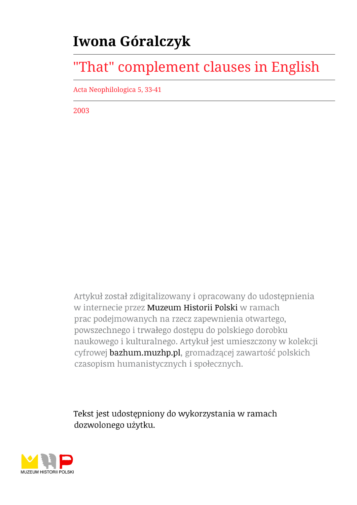## **Iwona Góralczyk**

# "That" complement clauses in English

Acta Neophilologica 5, 33-41

2003

Artykuł został zdigitalizowany i opracowany do udostępnienia w internecie przez Muzeum Historii Polski w ramach prac podejmowanych na rzecz zapewnienia otwartego, powszechnego i trwałego dostępu do polskiego dorobku naukowego i kulturalnego. Artykuł jest umieszczony w kolekcji cyfrowej bazhum.muzhp.pl, gromadzącej zawartość polskich czasopism humanistycznych i społecznych.

Tekst jest udostępniony do wykorzystania w ramach dozwolonego użytku.

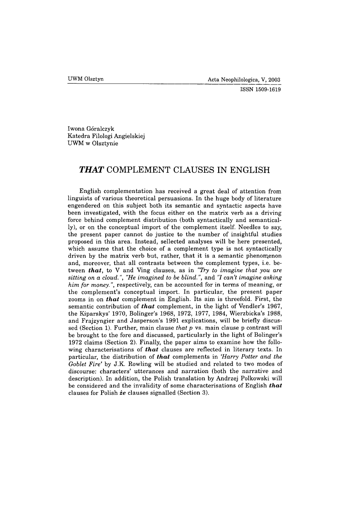**ISSN 1509-1619**

Iwona Góralczyk Katedra Filologi Angielskiej UWM w Olsztynie

### *TH A T* **COMPLEMENT CLAUSES IN ENGLISH**

English complementation has received a great deal of attention from linguists of various theoretical persuasions. In the huge body of literature engendered on this subject both its semantic and syntactic aspects have been investigated, with the focus either on the matrix verb as a driving force behind complement distribution (both syntactically and semantically), or on the conceptual import of the complement itself. Needles to say, the present paper cannot do justice to the number of insightful studies proposed in this area. Instead, sellected analyses will be here presented, which assume that the choice of a complement type is not syntactically driven by the matrix verb but, rather, that it is a semantic phenomenon and, moreover, that all contrasts between the complement types, i.e. between *that*, to V and Ving clauses, as in *"Try to imagine that you are sitting on a cloud..", "He imagined to be blind.",* and *"I can't imagine asking him for money.",* respectively, can be accounted for in terms of meaning, or the complement's conceptual import. In particular, the present paper zooms in on *that* complement in English. Its aim is threefold. First, the semantic contribution of *that* complement, in the light of Vendler's 1967, the Kiparskys' 1970, Bolinger's 1968, 1972, 1977, 1984, Wierzbicka's 1988, and Frajzyngier and Jasperson's 1991 explications, will be briefly discussed (Section 1). Further, main clause *that p* vs. main clause p contrast will be brought to the fore and discussed, particularly in the light of Bolinger's 1972 claims (Section 2). Finally, the paper aims to examine how the following characterisations of **that** clauses are reflected in literary texts. In particular, the distribution of *that* complements in *'Harry Potter and the Goblet Fire'* by J.K. Rowling will be studied and related to two modes of discourse: characters' utterances and narration (both the narrative and description). In addition, the Polish translation by Andrzej Polkowski will be considered and the invalidity of some characterisations of English *that* clauses for Polish *ze* clauses signalled (Section 3).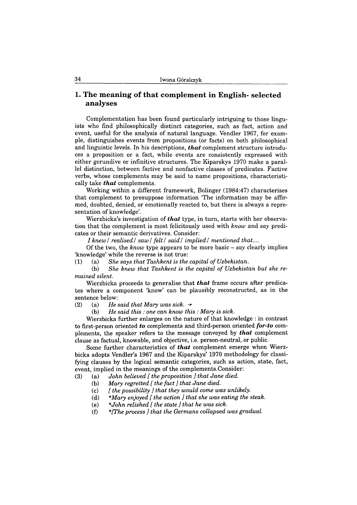#### **1. The meaning of that complement in English- selected analyses**

Complementation has been found particularly intriguing to those linguists who find philosophically distinct categories, such as fact, action and event, useful for the analysis of natural language. Vendler 1967, for example, distinguishes events from propositions (or facts) on both philosophical and linguistic levels. In his descriptions, *that* complement structure introduces a proposition or a fact, while events are consistently expressed with either gerundive or infinitive structures. The Kiparskys 1970 make a parallel distinction, between factive and nonfactive classes of predicates. Factive verbs, whose complements may be said to name propositions, characteristically take *that* complements.

Working within a different framework, Bolinger (1984:47) characterises that complement to presuppose information 'The information may be affirmed, doubted, denied, or emotionally reacted to, but there is always a representation of knowledge'.

Wierzbicka's investigation of *that* type, in turn, starts with her observation that the complement is most felicitously used with *know* and *say* predicates or their semantic derivatives. Consider:

*I knew I realised*/ *saw / felt*/ *said/ implied/ mentioned that....*

Of the two, the *know* type appears to be more basic - *say* clearly implies 'knowledge' while the reverse is not true:

(1) (a) *She says that Tashkent is the capital of Uzbekistan.*

(b) *She knew that Tashkent is the capital of Uzbekistan but she remained silent.*

Wierzbicka proceeds to generalise that *that* frame occurs after predicates where a component 'know' can be plausibly reconstructed, as in the sentence below:

(2) (a) *He said that Mary was sick.*  $\rightarrow$ 

(b) *He said this : one can know this : Mary is sick.*

Wierzbicka further enlarges on the nature of that knowledge : in contrast to first-person oriented *to* complements and third-person oriented *for-to* complements, the speaker refers to the message conveyed by *that* complement clause as factual, knowable, and objective, i.e. person-neutral, or public.

Some further characteristics of *that* complement emerge when Wierzbicka adopts Vendler's 1967 and the Kiparskys' 1970 methodology for classifying clauses by the logical semantic categories, such as action, state, fact, event, implied in the meanings of the complements.Consider:

(3) (a) *John believed [ the proposition ] that Jane died.*

- (b) *Mary regretted [ the fact ] that Jane died.*
- (c) *[ the possibility ] that they would come was unlikely.*
- (d) *\*Mary enjoyed [ the action ] that she was eating the steak.*
- (e) *\*John relished [ the state ] that he was sick.*
- (f) *\*[The process ] that the Germans collapsed was gradual.*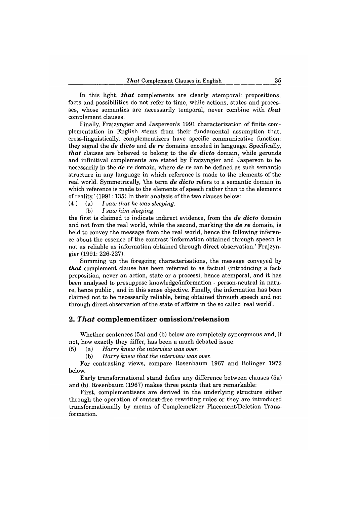In this light, *that* complements are clearly atemporal: propositions, facts and possibilities do not refer to time, while actions, states and processes, whose semantics are necessarily temporal, never combine with *that* complement clauses.

Finally, Frajzyngier and Jasperson's 1991 characterization of finite complementation in English stems from their fundamental assumption that, cross-linguistically, complementizers have specific communicative function: they signal the *de dicto* and *de re* domains encoded in language. Specifically, *that* clauses are believed to belong to the *de dicto* domain, while gerunds and infinitival complements are stated by Frajzyngier and Jasperson to be necessarily in the *de re* domain, where *de re* can be defined as such semantic structure in any language in which reference is made to the elements of the real world. Symmetrically, 'the term *de dicto* refers to a semantic domain in which reference is made to the elements of speech rather than to the elements of reality.' (1991: 135).In their analysis of the two clauses below:

(4 ) (a) *I saw that he was sleeping.*

(b) 7 *saw him sleeping.*

the first is claimed to indicate indirect evidence, from the *de dicto* domain and not from the real world, while the second, marking the *de re* domain, is held to convey the message from the real world, hence the following inference about the essence of the contrast 'information obtained through speech is not as reliable as information obtained through direct observation.' Frajzyngier (1991: 226-227).

Summing up the foregoing characterisations, the message conveyed by *that* complement clause has been referred to as factual (introducing a fact/ proposition, never an action, state or a process), hence atemporal, and it has been analysed to presuppose knowledge/information - person-neutral in nature, hence public , and in this sense objective. Finally, the information has been claimed not to be necessarily reliable, being obtained through speech and not through direct observation of the state of affairs in the so called 'real world'.

#### **2.** *That* **com plem entizer om ission /retension**

Whether sentences (5a) and (b) below are completely synonymous and, if not, how exactly they differ, has been a much debated issue.

(5) (a) *Harry knew the interview was over.*

(b) *Harry knew that the interview was over.*

For contrasting views, compare Rosenbaum 1967 and Bolinger 1972 below.

Early transformational stand defies any difference between clauses (5a) and (b). Rosenbaum (1967) makes three points that are remarkable:

First, complementisers are derived in the underlying structure either through the operation of context-free rewriting rules or they are introduced transformationally by means of Complemetizer Placement/Deletion Transformation.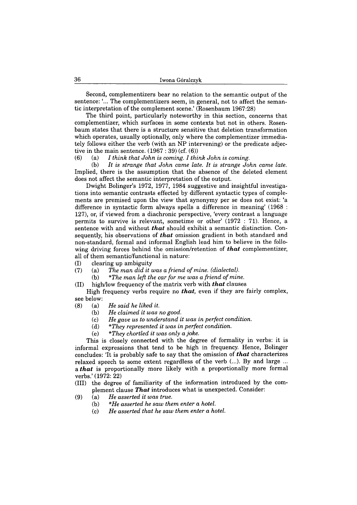Second, complementizers bear no relation to the semantic output of the sentence: '... The complementizers seem, in general, not to affect the semantic interpretation of the complement scene.' (Rosenbaum 1967:28)

The third point, particularly noteworthy in this section, concerns that complementizer, which surfaces in some contexts but not in others. Rosenbaum states that there is a structure sensitive that deletion transformation which operates, usually optionally, only where the complementizer immediately follows either the verb (with an NP intervening) or the predicate adjective in the main sentence.  $(1967 : 39)$  (cf.  $(6)$ )

(6) (a) *I think that John is coming. I think John is coming.*

(b) *It is strange that John came late. It is strange John came late.* Implied, there is the assumption that the absence of the deleted element does not affect the semantic interpretation of the output.

Dwight Bolinger's 1972, 1977, 1984 suggestive and insightful investigations into semantic contrasts effected by different syntactic types of complements are premised upon the view that synonymy per se does not exist: 'a difference in syntactic form always spells a difference in meaning' (1968 : 127), or, if viewed from a diachronic perspective, 'every contrast a language permits to survive is relevant, sometime or other' (1972 : 71). Hence, a sentence with and without *that* should exhibit a semantic distinction. Consequently, his observations of *that* omission gradient in both standard and non-standard, formal and informal English lead him to believe in the following driving forces behind the omission/retention of *that* complementizer, all of them semantic/functional in nature:

(I) clearing up ambiguity<br>(7) (a) The man did it is

- (a) The man did it was a friend of mine. (dialectal).
	- (b) *\*The man left the car for me was a friend of mine.*
- (II) high/low frequency of the matrix verb with *that* clauses

High frequency verbs require no *that,* even if they are fairly complex, see below:

- (8) (a) *He said he liked it.*
	- (b) *He claimed it was no good.*
	- (c) *He gave us to understand it was in perfect condition.*
	- (d) *\*They represented it was in perfect condition.*
	- (e) *\*They chortled it was only a joke.*

This is closely connected with the degree of formality in verbs: it is informal expressions that tend to be high in frequency. Hence, Bolinger concludes: 'It is probably safe to say that the omission of *that* characterizes relaxed speech to some extent regardless of the verb (...). By and large ... a *that* is proportionally more likely with a proportionally more formal verbs.' (1972: 22)

- (III) the degree of familiarity of the information introduced by the complement clause *That* introduces what is unexpected. Consider:
- (9) (a) *He asserted it was true.*
	- (b) *\*He asserted he saw them enter a hotel.*
	- (c) *He asserted that he saw them enter a hotel.*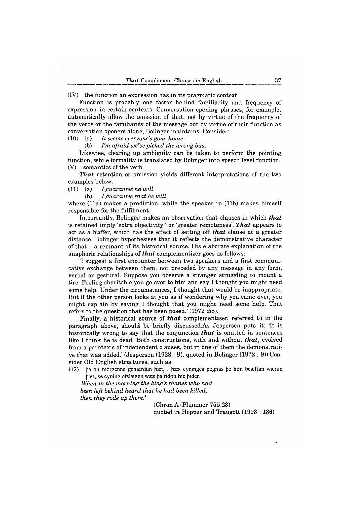(IV) the function an expression has in its pragmatic context.

Function is probably one factor behind familiarity and frequency of expression in certain contexts. Conversation opening phrases, for example, automatically allow the omission of that, not by virtue of the frequency of the verbs or the familiarity of the message but by virtue of their function as conversation openers alone, Bolinger maintains. Consider:

(10) (a) *It seems everyone's gone home.*

(b) *I'm afraid we've picked the wrong bus.*

Likewise, clearing up ambiguity can be taken to perform the pointing function, while formality is translated by Bolinger into speech level function. (V) semantics of the verb

*That* retention or omission yields different interpretations of the two examples below:

(11) (a) *I guarantee he will.*

(b) *I guarantee that he will.*

where (11a) makes a prediction, while the speaker in (11b) makes himself responsible for the fulfilment.

Importantly, Bolinger makes an observation that clauses in which *that* is retained imply 'extra objectivity ' or 'greater remoteness'. *That* appears to act as a buffer, which has the effect of setting off *that* clause at a greater distance. Bolinger hypothesises that it reflects the demonstrative character of that - a remnant of its historical source. His elaborate explanation of the anaphoric relationships of *that* complementizer goes as follows:

'I suggest a first encounter between two speakers and a first communicative exchange between them, not preceded by any message in any form, verbal or gestural. Suppose you observe a stranger struggling to mount a tire. Feeling charitable you go over to him and say I thought you might need some help. Under the circumstances, I thought that would be inappropriate. But if the other person looks at you as if wondering why you came over, you might explain by saying I thought that you might need some help. That refers to the question that has been posed.' (1972 :58).

Finally, a historical source of *that* complementiser, referred to in the paragraph above, should be briefly discussed.As Jespersen puts it: 'It is historically wrong to say that the conjunction **that** is omitted in sentences like I think he is dead. Both constructions, with and without *that,* evolved from a parataxis of independent clauses, but in one of them the demonstrative that was added.' (Jespersen (1928 : 9), quoted in Bolinger (1972 : 9)).Consider Old English structures, such as:

(12) ba on morgenne gehierdun bæt<sub>1</sub>, bæs cyninges begnas be him beæftan wærun bæt, se cyning ofslægen wæs þa ridon hie þider.

*'When in the morning the king's thanes who had been left behind heard that he had been killed, then they rode up there.'*

> (Chron A (Plummer 755.23) quoted in Hopper and Traugott (1993 : 186)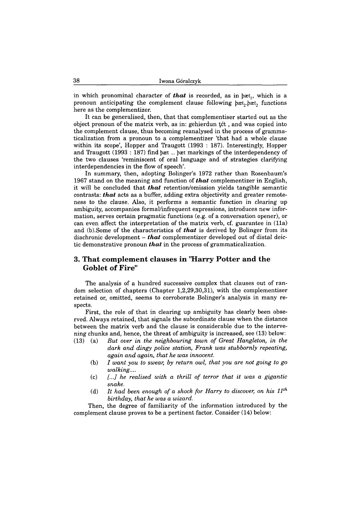in which pronominal character of *that* is recorded, as in  $\beta$ æt<sub>1</sub>, which is a pronoun anticipating the complement clause following *bæt*, *bæt*, functions here as the complementizer.

It can be generalised, then, that that complementiser started out as the object pronoun of the matrix verb, as in: gehierdun tét, and was copied into the complement clause, thus becoming reanalysed in the process of grammaticalization from a pronoun to a complementizer 'that had a whole clause within its scope', Hopper and Traugott (1993 : 187). Interestingly, Hopper and Traugott (1993 : 187) find  $\beta$ æt...  $\beta$ æt markings of the interdependency of the two clauses 'reminiscent of oral language and of strategies clarifying interdependencies in the flow of speech'.

In summary, then, adopting Bolinger's 1972 rather than Rosenbaum's 1967 stand on the meaning and function of *that* complementizer in English, it will be concluded that *that* retention/omission yields tangible semantic contrasts: *that* acts as a buffer, adding extra objectivity and greater remoteness to the clause. Also, it performs a semantic function in clearing up ambiguity, accompanies formal/infrequent expressions, introduces new information, serves certain pragmatic functions (e.g. of a conversation opener), or can even affect the interpretation of the matrix verb, cf. guarantee in (11a) and (b).Some of the characteristics of *that* is derived by Bolinger from its diachronic development - *that* complementizer developed out of distal deictic demonstrative pronoun *that* in the process of grammaticalization.

#### **3. That complement clauses in "Harry Potter and the Goblet of Fire"**

The analysis of a hundred successive complex that clauses out of random selection of chapters (Chapter 1,2,29,30,31), with the complementiser retained or, omitted, seems to corroborate Bolinger's analysis in many respects.

First, the role of that in clearing up ambiguity has clearly been observed. Always retained, that signals the subordinate clause when the distance between the matrix verb and the clause is considerable due to the intervening chunks and, hence, the threat of ambiguity is increased, see (13) below:

- (13) (a) *But over in the neighbouring town of Great Hangleton, in the dark and dingy police station, Frank was stubbornly repeating, again and again, that he was innocent.*
	- (b) *I want you to swear, by return owl, that you are not going to go walking....*
	- (c) *[...] he realised with a thrill of terror that it was a gigantic snake.*
	- (d) *It had been enough of a shock for Harry to discover, on his 11th birthday, that he was a wizard.*

Then, the degree of familiarity of the information introduced by the complement clause proves to be a pertinent factor. Consider (14) below: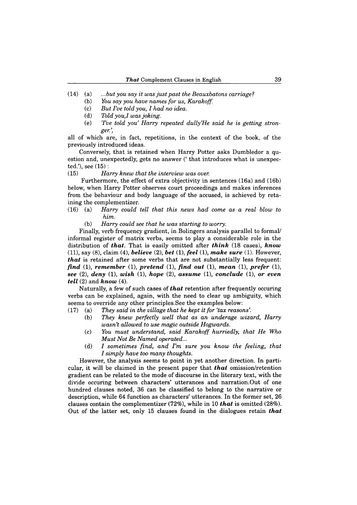- (14) (a) *...but you say it was just past the Beauxbatons carriage?*
	- (b) *You say you have names for us, Karakoff.*
	- (c) *But I've told you, I had no idea.*
	- (d) *Told you,I was joking.*
	- (e) *'I've told you' Harry repeated dully'He said he is getting stronger.',*

all of which are, in fact, repetitions, in the context of the book, of the previously introduced ideas.

Conversely, that is retained when Harry Potter asks Dumbledor a question and, unexpectedly, gets no answer (' that introduces what is unexpected.'), see (15) :

(15) *Harry knew that the interview was over.*

Furthermore, the effect of extra objectivity in sentences (16a) and (16b) below, when Harry Potter observes court proceedings and makes inferences from the behaviour and body language of the accused, is achieved by retaining the complementizer.

- (16) (a) *Harry could tell that this news had come as a real blow to him.*
	- (b) *Harry could see that he was starting to worry.*

Finally, verb frequency gradient, in Bolingers analysis parallel to formal/ informal register of matrix verbs, seems to play a considerable role in the distribution of *that.* That is easily omitted after *th in k* (18 cases), *know* (11), say (8), claim (4), *believe* (2), *bet* (1), *feel* (1), *m ake sure* (1). However, *that* is retained after some verbs that are not substantially less frequent: *find* (1), *remember* (1), *pretend* (1), *find out* (1), *mean* (1), *prefer* (1), *see* (2), *deny* (1), *wish* (1), *hope* (2), *assume* (1), *conclude* (1), *or even tell* (2) and *know* (4).

Naturally, a few of such cases of *that* retention after frequently occuring verbs can be explained, again, with the need to clear up ambiguity, which seems to override any other principles.See the examples below:

- $(17)$  (a) *They said in the village that he kept it for 'tax reasons'.* 
	- (b) *They knew perfectly well that as an underage wizard, Harry wasn't allowed to use magic outside Hogwards.*
	- (c) *You must understand, said Karakoff hurriedly, that He Who Must Not Be Named operated...*
	- (d) *I sometimes find, and I'm sure you know the feeling, that I simply have too many thoughts.*

However, the analysis seems to point in yet another direction. In particular, it will be claimed in the present paper that *that* omission/retention gradient can be related to the mode of discourse in the literary text, with the divide occuring between characters' utterances and narration.Out of one hundred clauses noted, 36 can be classified to belong to the narrative or description, while 64 function as characters' utterances. In the former set, 26 clauses contain the complementizer (72%), while in 10 *that* is omitted (28%). Out of the latter set, only 15 clauses found in the dialogues retain *that*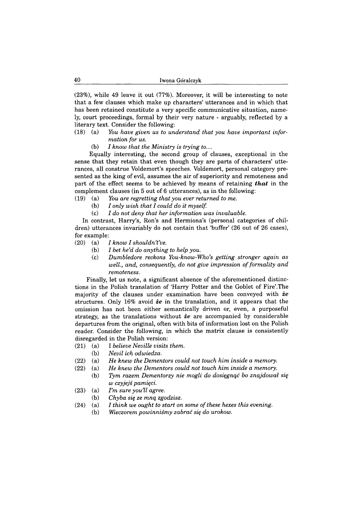(23%), while 49 leave it out (77%). Moreover, it will be interesting to note that a few clauses which make up characters' utterances and in which that has been retained constitute a very specific communicative situation, namely, court proceedings, formal by their very nature - arguably, reflected by a literary text. Consider the following:

#### (18) (a) *You have given us to understand that you have important information for us.*

(b) *I know that the Ministry is trying to....*

Equally interesting, the second group of clauses, exceptional in the sense that they retain that even though they are parts of characters' utterances, all construe Voldemort's speeches. Voldemort, personal category presented as the king of evil, assumes the air of superiority and remoteness and part of the effect seems to be achieved by means of retaining *that* in the complement clauses (in 5 out of 6 utterances), as in the following:

- (19) (a) *You are regretting that you ever returned to me.*
	- (b) *I only wish that I could do it myself.*
	- (c) *I do not deny that her information was invaluable.*

In contrast, Harry's, Ron's and Hermiona's (personal categories of children) utterances invariably do not contain that 'buffer' (26 out of 26 cases), for example:

- (20) (a) *I know I shouldn't've.*
	- (b) *I bet he'd do anything to help you.*
	- (c) *Dumbledore reckons You-know-Who's getting stronger again as well., and, consequently, do not give impression of formality and remoteness.*

Finally, let us note, a significant absence of the aforementioned distinctions in the Polish translation of 'Harry Potter and the Goblet of Fire'.The majority of the clauses under examination have been conveyed with *że* structures. Only 16% avoid *że* in the translation, and it appears that the omission has not been either semantically driven or, even, a purposeful strategy, as the translations without *że* are accompanied by considerable departures from the original, often with bits of information lost on the Polish reader. Consider the following, in which the matrix clause is consistently disregarded in the Polish version:

- (21) (a) I *believe Neville visits them.*
	- (b) *Nevil ich odwiedza.*
- (22) (a) *He knew the Dementors could not touch him inside a memory.*
- (22) (a) *He knew the Dementors could not touch him inside a memory.*
	- (b) *Tym razem Dementorzy nie mogli do dosięgnąć bo znajdował się w czyjejś pamięci.*
- (23) (a) *I'm sure you'll agree.*
	- (b) *Chyba się ze mną zgodzisz.*
- (24) (a) *I think we ought to start on some of these hexes this evening.*
	- (b) *Wieczorem powinniśmy zabrać się do urokow.*